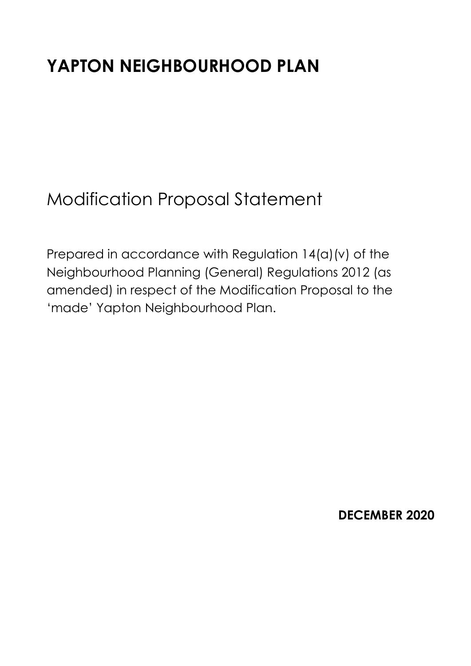# **YAPTON NEIGHBOURHOOD PLAN**

Modification Proposal Statement

Prepared in accordance with Regulation 14(a)(v) of the Neighbourhood Planning (General) Regulations 2012 (as amended) in respect of the Modification Proposal to the 'made' Yapton Neighbourhood Plan.

**DECEMBER 2020**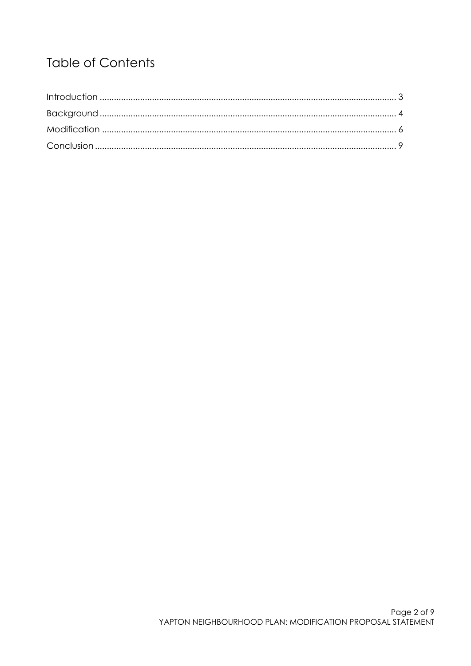# **Table of Contents**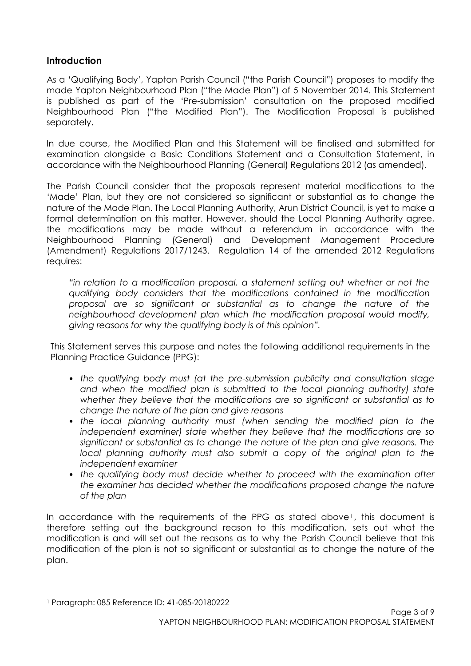#### <span id="page-2-0"></span>**Introduction**

As a 'Qualifying Body', Yapton Parish Council ("the Parish Council") proposes to modify the made Yapton Neighbourhood Plan ("the Made Plan") of 5 November 2014. This Statement is published as part of the 'Pre-submission' consultation on the proposed modified Neighbourhood Plan ("the Modified Plan"). The Modification Proposal is published separately.

In due course, the Modified Plan and this Statement will be finalised and submitted for examination alongside a Basic Conditions Statement and a Consultation Statement, in accordance with the Neighbourhood Planning (General) Regulations 2012 (as amended).

The Parish Council consider that the proposals represent material modifications to the 'Made' Plan, but they are not considered so significant or substantial as to change the nature of the Made Plan. The Local Planning Authority, Arun District Council, is yet to make a formal determination on this matter. However, should the Local Planning Authority agree, the modifications may be made without a referendum in accordance with the Neighbourhood Planning (General) and Development Management Procedure (Amendment) Regulations 2017/1243. Regulation 14 of the amended 2012 Regulations requires:

*"in relation to a modification proposal, a statement setting out whether or not the qualifying body considers that the modifications contained in the modification proposal are so significant or substantial as to change the nature of the neighbourhood development plan which the modification proposal would modify, giving reasons for why the qualifying body is of this opinion".*

This Statement serves this purpose and notes the following additional requirements in the Planning Practice Guidance (PPG):

- *the qualifying body must (at the pre-submission publicity and consultation stage and when the modified plan is submitted to the local planning authority) state whether they believe that the modifications are so significant or substantial as to change the nature of the plan and give reasons*
- *the local planning authority must (when sending the modified plan to the independent examiner) state whether they believe that the modifications are so significant or substantial as to change the nature of the plan and give reasons. The local planning authority must also submit a copy of the original plan to the independent examiner*
- *the qualifying body must decide whether to proceed with the examination after the examiner has decided whether the modifications proposed change the nature of the plan*

In accordance with the requirements of the PPG as stated above<sup>1</sup>, this document is therefore setting out the background reason to this modification, sets out what the modification is and will set out the reasons as to why the Parish Council believe that this modification of the plan is not so significant or substantial as to change the nature of the plan.

 $\overline{a}$ 

<sup>1</sup> Paragraph: 085 Reference ID: 41-085-20180222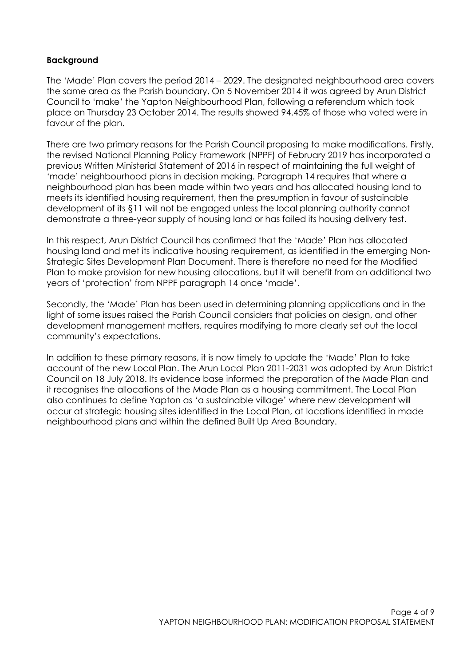#### <span id="page-3-0"></span>**Background**

The 'Made' Plan covers the period 2014 – 2029. The designated neighbourhood area covers the same area as the Parish boundary. On 5 November 2014 it was agreed by Arun District Council to 'make' the Yapton Neighbourhood Plan, following a referendum which took place on Thursday 23 October 2014. The results showed 94.45% of those who voted were in favour of the plan.

There are two primary reasons for the Parish Council proposing to make modifications. Firstly, the revised National Planning Policy Framework (NPPF) of February 2019 has incorporated a previous Written Ministerial Statement of 2016 in respect of maintaining the full weight of 'made' neighbourhood plans in decision making. Paragraph 14 requires that where a neighbourhood plan has been made within two years and has allocated housing land to meets its identified housing requirement, then the presumption in favour of sustainable development of its §11 will not be engaged unless the local planning authority cannot demonstrate a three-year supply of housing land or has failed its housing delivery test.

In this respect, Arun District Council has confirmed that the 'Made' Plan has allocated housing land and met its indicative housing requirement, as identified in the emerging Non-Strategic Sites Development Plan Document. There is therefore no need for the Modified Plan to make provision for new housing allocations, but it will benefit from an additional two years of 'protection' from NPPF paragraph 14 once 'made'.

Secondly, the 'Made' Plan has been used in determining planning applications and in the light of some issues raised the Parish Council considers that policies on design, and other development management matters, requires modifying to more clearly set out the local community's expectations.

In addition to these primary reasons, it is now timely to update the 'Made' Plan to take account of the new Local Plan. The Arun Local Plan 2011-2031 was adopted by Arun District Council on 18 July 2018. Its evidence base informed the preparation of the Made Plan and it recognises the allocations of the Made Plan as a housing commitment. The Local Plan also continues to define Yapton as 'a sustainable village' where new development will occur at strategic housing sites identified in the Local Plan, at locations identified in made neighbourhood plans and within the defined Built Up Area Boundary.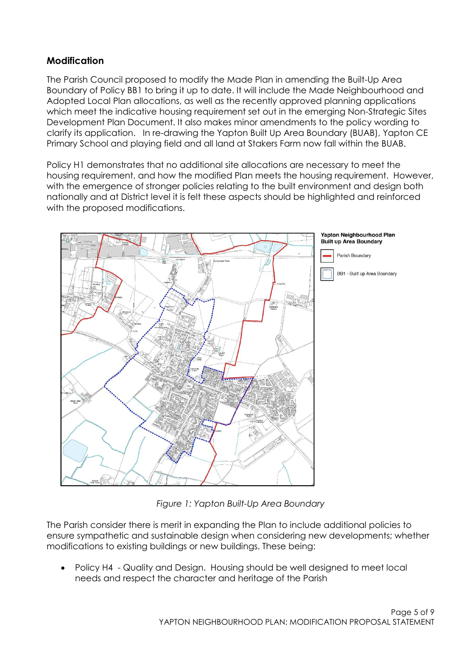## **Modification**

The Parish Council proposed to modify the Made Plan in amending the Built-Up Area Boundary of Policy BB1 to bring it up to date. It will include the Made Neighbourhood and Adopted Local Plan allocations, as well as the recently approved planning applications which meet the indicative housing requirement set out in the emerging Non-Strategic Sites Development Plan Document. It also makes minor amendments to the policy wording to clarify its application. In re-drawing the Yapton Built Up Area Boundary (BUAB), Yapton CE Primary School and playing field and all land at Stakers Farm now fall within the BUAB.

Policy H1 demonstrates that no additional site allocations are necessary to meet the housing requirement, and how the modified Plan meets the housing requirement. However, with the emergence of stronger policies relating to the built environment and design both nationally and at District level it is felt these aspects should be highlighted and reinforced with the proposed modifications.



*Figure 1: Yapton Built-Up Area Boundary*

The Parish consider there is merit in expanding the Plan to include additional policies to ensure sympathetic and sustainable design when considering new developments; whether modifications to existing buildings or new buildings. These being:

 Policy H4 - Quality and Design. Housing should be well designed to meet local needs and respect the character and heritage of the Parish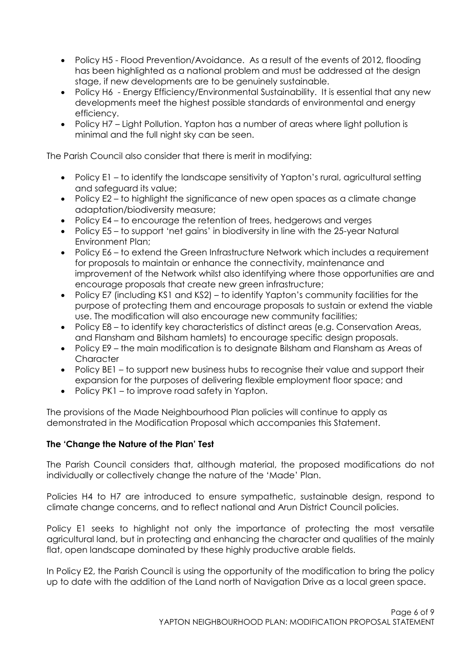- Policy H5 Flood Prevention/Avoidance. As a result of the events of 2012, flooding has been highlighted as a national problem and must be addressed at the design stage, if new developments are to be genuinely sustainable.
- Policy H6 Energy Efficiency/Environmental Sustainability. It is essential that any new developments meet the highest possible standards of environmental and energy efficiency.
- Policy H7 Light Pollution. Yapton has a number of areas where light pollution is minimal and the full night sky can be seen.

The Parish Council also consider that there is merit in modifying:

- Policy E1 to identify the landscape sensitivity of Yapton's rural, agricultural setting and safeguard its value;
- Policy E2 to highlight the significance of new open spaces as a climate change adaptation/biodiversity measure;
- Policy E4 to encourage the retention of trees, hedgerows and verges
- Policy E5 to support 'net gains' in biodiversity in line with the 25-year Natural Environment Plan;
- Policy E6 to extend the Green Infrastructure Network which includes a requirement for proposals to maintain or enhance the connectivity, maintenance and improvement of the Network whilst also identifying where those opportunities are and encourage proposals that create new green infrastructure;
- Policy E7 (including KS1 and KS2) to identify Yapton's community facilities for the purpose of protecting them and encourage proposals to sustain or extend the viable use. The modification will also encourage new community facilities;
- Policy E8 to identify key characteristics of distinct areas (e.g. Conservation Areas, and Flansham and Bilsham hamlets) to encourage specific design proposals.
- Policy E9 the main modification is to designate Bilsham and Flansham as Areas of **Character**
- Policy BE1 to support new business hubs to recognise their value and support their expansion for the purposes of delivering flexible employment floor space; and
- Policy PK1 to improve road safety in Yapton.

The provisions of the Made Neighbourhood Plan policies will continue to apply as demonstrated in the Modification Proposal which accompanies this Statement.

#### <span id="page-5-0"></span>**The 'Change the Nature of the Plan' Test**

The Parish Council considers that, although material, the proposed modifications do not individually or collectively change the nature of the 'Made' Plan.

Policies H4 to H7 are introduced to ensure sympathetic, sustainable design, respond to climate change concerns, and to reflect national and Arun District Council policies.

Policy E1 seeks to highlight not only the importance of protecting the most versatile agricultural land, but in protecting and enhancing the character and qualities of the mainly flat, open landscape dominated by these highly productive arable fields.

In Policy E2, the Parish Council is using the opportunity of the modification to bring the policy up to date with the addition of the Land north of Navigation Drive as a local green space.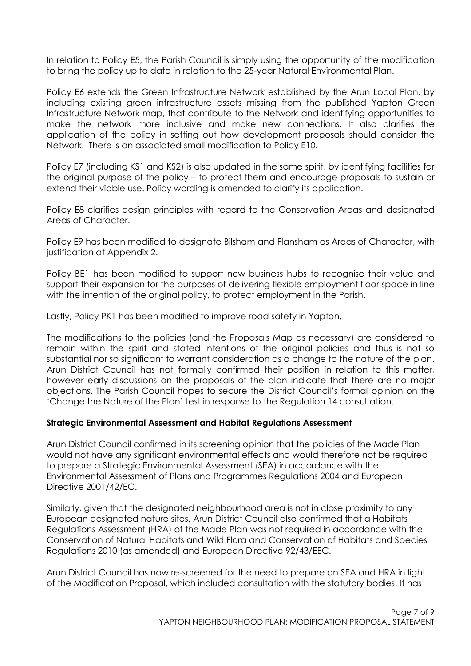In relation to Policy E5, the Parish Council is simply using the opportunity of the modification to bring the policy up to date in relation to the 25-year Natural Environmental Plan.

Policy E6 extends the Green Infrastructure Network established by the Arun Local Plan, by including existing green infrastructure assets missing from the published Yapton Green Infrastructure Network map, that contribute to the Network and identifying opportunities to make the network more inclusive and make new connections. It also clarifies the application of the policy in setting out how development proposals should consider the Network. There is an associated small modification to Policy E10.

Policy E7 (including KS1 and KS2) is also updated in the same spirit, by identifying facilities for the original purpose of the policy – to protect them and encourage proposals to sustain or extend their viable use. Policy wording is amended to clarify its application.

Policy E8 clarifies design principles with regard to the Conservation Areas and designated Areas of Character.

Policy E9 has been modified to designate Bilsham and Flansham as Areas of Character, with justification at Appendix 2.

Policy BE1 has been modified to support new business hubs to recognise their value and support their expansion for the purposes of delivering flexible employment floor space in line with the intention of the original policy, to protect employment in the Parish.

Lastly, Policy PK1 has been modified to improve road safety in Yapton.

The modifications to the policies (and the Proposals Map as necessary) are considered to remain within the spirit and stated intentions of the original policies and thus is not so substantial nor so significant to warrant consideration as a change to the nature of the plan. Arun District Council has not formally confirmed their position in relation to this matter, however early discussions on the proposals of the plan indicate that there are no major objections. The Parish Council hopes to secure the District Council's formal opinion on the 'Change the Nature of the Plan' test in response to the Regulation 14 consultation.

#### **Strategic Environmental Assessment and Habitat Regulations Assessment**

Arun District Council confirmed in its screening opinion that the policies of the Made Plan would not have any significant environmental effects and would therefore not be required to prepare a Strategic Environmental Assessment (SEA) in accordance with the Environmental Assessment of Plans and Programmes Regulations 2004 and European Directive 2001/42/EC.

Similarly, given that the designated neighbourhood area is not in close proximity to any European designated nature sites, Arun District Council also confirmed that a Habitats Regulations Assessment (HRA) of the Made Plan was not required in accordance with the Conservation of Natural Habitats and Wild Flora and Conservation of Habitats and Species Regulations 2010 (as amended) and European Directive 92/43/EEC.

Arun District Council has now re-screened for the need to prepare an SEA and HRA in light of the Modification Proposal, which included consultation with the statutory bodies. It has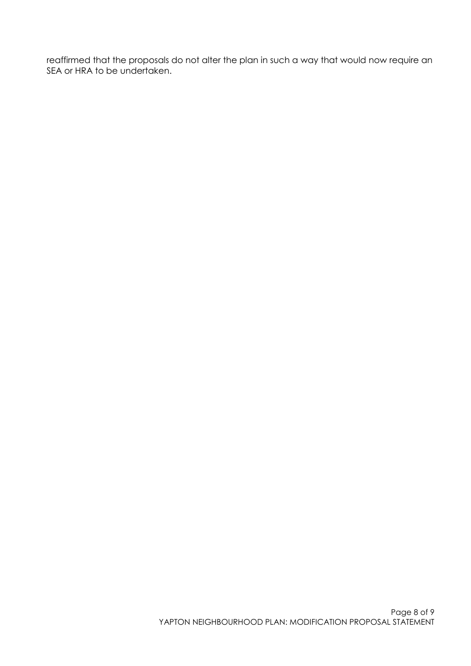<span id="page-7-0"></span>reaffirmed that the proposals do not alter the plan in such a way that would now require an SEA or HRA to be undertaken.